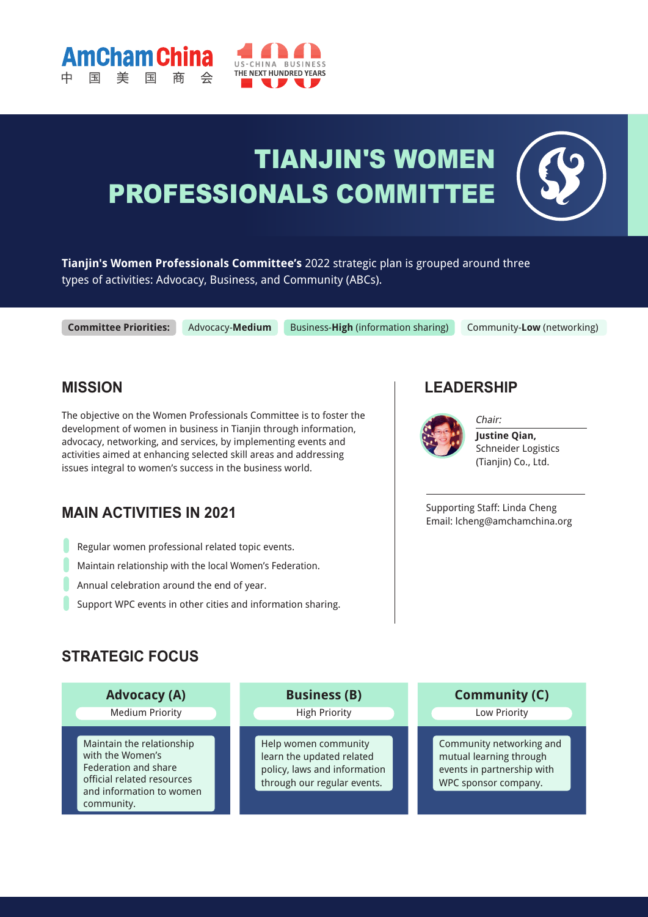

# TIANJIN'S WOMEN PROFESSIONALS COMMITTEE

**Tianjin's Women Professionals Committee's** 2022 strategic plan is grouped around three types of activities: Advocacy, Business, and Community (ABCs).

**Committee Priorities:**

**Cham Chi** 

Advocacy-**Medium** Business-**High** (information sharing) Community-**Low** (networking)

#### **MISSION**

The objective on the Women Professionals Committee is to foster the development of women in business in Tianjin through information, advocacy, networking, and services, by implementing events and activities aimed at enhancing selected skill areas and addressing issues integral to women's success in the business world.

## **MAIN ACTIVITIES IN 2021**

- Regular women professional related topic events.
- Maintain relationship with the local Women's Federation.
- Annual celebration around the end of year.
- Support WPC events in other cities and information sharing.

#### **LEADERSHIP**

Chair:



**Justine Qian,**  Schneider Logistics (Tianjin) Co., Ltd.

Supporting Staff: Linda Cheng Email: lcheng@amchamchina.org

## **STRATEGIC FOCUS**